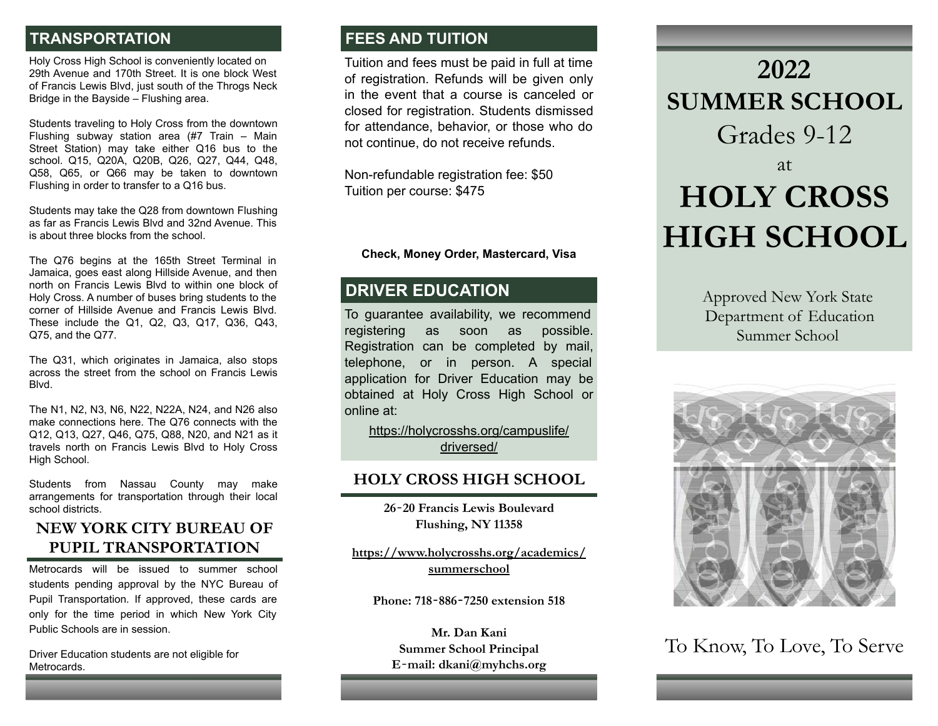# **TRANSPORTATION**

Holy Cross High School is conveniently located on 29th Avenue and 170th Street. It is one block West of Francis Lewis Blvd, just south of the Throgs Neck Bridge in the Bayside – Flushing area.

Students traveling to Holy Cross from the downtown Flushing subway station area (#7 Train – Main Street Station) may take either Q16 bus to the school. Q15, Q20A, Q20B, Q26, Q27, Q44, Q48, Q58, Q65, or Q66 may be taken to downtown Flushing in order to transfer to a Q16 bus.

Students may take the Q28 from downtown Flushing as far as Francis Lewis Blvd and 32nd Avenue. This is about three blocks from the school.

The Q76 begins at the 165th Street Terminal in Jamaica, goes east along Hillside Avenue, and then north on Francis Lewis Blvd to within one block of Holy Cross. A number of buses bring students to the corner of Hillside Avenue and Francis Lewis Blvd. These include the Q1, Q2, Q3, Q17, Q36, Q43, Q75, and the Q77.

The Q31, which originates in Jamaica, also stops across the street from the school on Francis Lewis Blvd.

The N1, N2, N3, N6, N22, N22A, N24, and N26 also make connections here. The Q76 connects with the Q12, Q13, Q27, Q46, Q75, Q88, N20, and N21 as it travels north on Francis Lewis Blvd to Holy Cross High School.

Students from Nassau County may make arrangements for transportation through their local school districts.

# **NEW YORK CITY BUREAU OF PUPIL TRANSPORTATION**

Metrocards will be issued to summer school students pending approval by the NYC Bureau of Pupil Transportation. If approved, these cards are only for the time period in which New York City Public Schools are in session.

Driver Education students are not eligible for Metrocards.

# **FEES AND TUITION**

Tuition and fees must be paid in full at time of registration. Refunds will be given only in the event that a course is canceled or closed for registration. Students dismissed for attendance, behavior, or those who do not continue, do not receive refunds.

Non-refundable registration fee: \$50 Tuition per course: \$475

**Check, Money Order, Mastercard, Visa**

# **DRIVER EDUCATION**

To guarantee availability, we recommend registering as soon as possible. Registration can be completed by mail, telephone, or in person. A special application for Driver Education may be obtained at Holy Cross High School or online at:

[https://holycrosshs.org/campuslife/](https://holycrosshs.org/campuslife/driversed/) [driversed/](https://holycrosshs.org/campuslife/driversed/)

## **HOLY CROSS HIGH SCHOOL**

**26**‐**20 Francis Lewis Boulevard Flushing, NY 11358**

**<https://www.holycrosshs.org/academics/> [summerschool](https://www.holycrosshs.org/academics/summerschool)**

**Phone: 718**‐**886**‐**7250 extension 518**

**Mr. Dan Kani Summer School Principal E**‐**mail: dkani@myhchs.org**

# **2022 SUMMER SCHOOL** Grades 9-12 at **HOLY CROSS HIGH SCHOOL**

Approved New York State Department of Education Summer School



To Know, To Love, To Serve